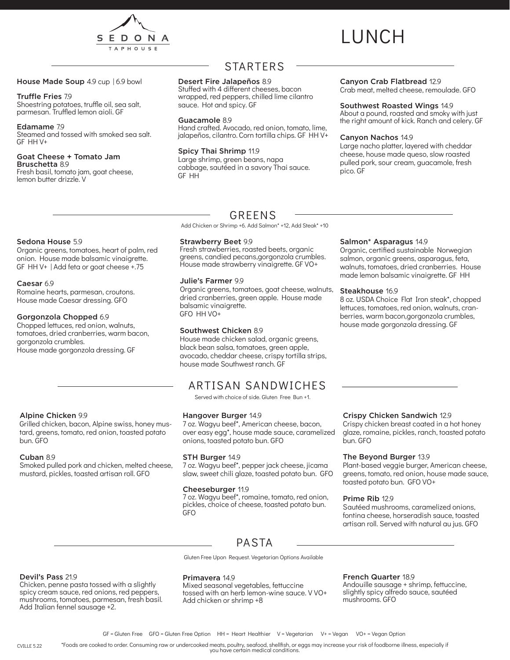

# LUNCH

### House Made Soup 4.9 cup | 6.9 bowl

### Truffle Fries 7.9

Shoestring potatoes, truffle oil, sea salt, parmesan. Truffled lemon aioli. GF

#### Edamame 7.9

Steamed and tossed with smoked sea salt. GF HH V+

#### Goat Cheese + Tomato Jam Bruschetta 8.9

Fresh basil, tomato jam, goat cheese, lemon butter drizzle. V

### STARTERS

### Desert Fire Jalapeños 8.9

Stuffed with 4 different cheeses, bacon wrapped, red peppers, chilled lime cilantro sauce. Hot and spicy. GF

### Guacamole 8.9

Hand crafted. Avocado, red onion, tomato, lime, jalapeños, cilantro. Corn tortilla chips. GF HH V+

### Spicy Thai Shrimp 11.9

Large shrimp, green beans, napa cabbage, sautéed in a savory Thai sauce. GF HH

### Canyon Crab Flatbread 12.9

Crab meat, melted cheese, remoulade. GFO

### Southwest Roasted Wings 14.9

About a pound, roasted and smoky with just the right amount of kick. Ranch and celery. GF

### Canyon Nachos 14.9

Salmon\* Asparagus 14.9

Steakhouse 16.9

Large nacho platter, layered with cheddar cheese, house made queso, slow roasted pulled pork, sour cream, guacamole, fresh pico. GF

Organic, certified sustainable Norwegian salmon, organic greens, asparagus, feta, walnuts, tomatoes, dried cranberries. House made lemon balsamic vinaigrette. GF HH

8 oz. USDA Choice Flat Iron steak\*, chopped lettuces, tomatoes, red onion, walnuts, cranberries, warm bacon,gorgonzola crumbles, house made gorgonzola dressing. GF

### Sedona House 5.9

Organic greens, tomatoes, heart of palm, red onion. House made balsamic vinaigrette. GF HH V+ | Add feta or goat cheese +.75

### Caesar 6.9

Romaine hearts, parmesan, croutons. House made Caesar dressing. GFO

### Gorgonzola Chopped 6.9

Chopped lettuces, red onion, walnuts, tomatoes, dried cranberries, warm bacon, gorgonzola crumbles. House made gorgonzola dressing. GF

### Alpine Chicken 9.9

Grilled chicken, bacon, Alpine swiss, honey mustard, greens, tomato, red onion, toasted potato bun. GFO

### Cuban 8.9

Smoked pulled pork and chicken, melted cheese, mustard, pickles, toasted artisan roll. GFO

### GREENS

Add Chicken or Shrimp +6. Add Salmon\* +12, Add Steak\* +10

### Strawberry Beet 9.9

Fresh strawberries, roasted beets, organic greens, candied pecans,gorgonzola crumbles. House made strawberry vinaigrette. GF VO+

### Julie's Farmer 9.9

Organic greens, tomatoes, goat cheese, walnuts, dried cranberries, green apple. House made balsamic vinaigrette. GFO HH VO+

### Southwest Chicken 8.9

House made chicken salad, organic greens, black bean salsa, tomatoes, green apple, avocado, cheddar cheese, crispy tortilla strips, house made Southwest ranch. GF

### ARTISAN SANDWICHES

Served with choice of side. Gluten Free Bun +1.

### Hangover Burger 14.9

7 oz. Wagyu beef\*, American cheese, bacon, over easy egg\*, house made sauce, caramelized onions, toasted potato bun. GFO

### STH Burger 14.9

7 oz. Wagyu beef\*, pepper jack cheese, jicama slaw, sweet chili glaze, toasted potato bun. GFO

### Cheeseburger 11.9

7 oz. Wagyu beef\*, romaine, tomato, red onion, pickles, choice of cheese, toasted potato bun. GFO

### Crispy Chicken Sandwich 12.9

Crispy chicken breast coated in a hot honey glaze, romaine, pickles, ranch, toasted potato bun. GFO

### The Beyond Burger 13.9

Plant-based veggie burger, American cheese, greens, tomato, red onion, house made sauce, toasted potato bun. GFO VO+

### Prime Rib 12.9

Sautéed mushrooms, caramelized onions, fontina cheese, horseradish sauce, toasted artisan roll. Served with natural au jus. GFO

### PASTA

Gluten Free Upon Request. Vegetarian Options Available

### Devil's Pass 21.9

Chicken, penne pasta tossed with a slightly spicy cream sauce, red onions, red peppers, mushrooms, tomatoes, parmesan, fresh basil. Add Italian fennel sausage +2.

### Primavera 14.9

Mixed seasonal vegetables, fettuccine tossed with an herb lemon-wine sauce. V VO+ Add chicken or shrimp +8

### French Quarter 18.9

Andouille sausage + shrimp, fettuccine, slightly spicy alfredo sauce, sautéed mushrooms. GFO

\*Foods are cooked to order. Consuming raw or undercooked meats, poultry, seafood, shellfish, or eggs may increase your risk of foodborne illness, especially if you have certain medical conditions. CVILLE 5.22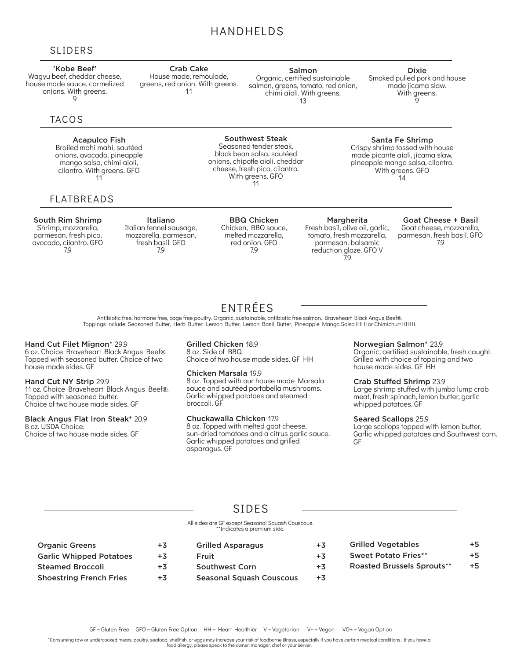### HANDHELDS

### SLIDERS

### 'Kobe Beef'

Wagyu beef, cheddar cheese, house made sauce, carmelized onions. With greens. 9

### **TACOS**

### Acapulco Fish

Broiled mahi mahi, sautéed onions, avocado, pineapple mango salsa, chimi aioli, cilantro. With greens. GFO 11

### FLATBREADS

#### South Rim Shrimp Shrimp, mozzarella, parmesan. fresh pico, avocado, cilantro. GFO 7.9

Italiano Italian fennel sausage, mozzarella, parmesan, fresh basil. GFO 7.9

Crab Cake House made, remoulade, greens, red onion. With greens. 11

> BBQ Chicken Chicken, BBQ sauce, melted mozzarella, red onion. GFO 7.9

Southwest Steak Seasoned tender steak,

> With greens. GFO 11

> > Margherita Fresh basil, olive oil, garlic, tomato, fresh mozzarella, parmesan, balsamic reduction glaze. GFO V 7.9

#### Goat Cheese + Basil Goat cheese, mozzarella, parmesan, fresh basil. GFO 7.9

ENTRÉES Antibiotic free, hormone free, cage free poultry. Organic, sustainable, antibiotic free salmon. Braveheart Black Angus Beef®. Toppings include: Seasoned Butter, Herb Butter, Lemon Butter, Lemon Basil Butter, Pineapple Mango Salsa (HH) or Chimichurri (HH).

### Hand Cut Filet Mignon\* 29.9

6 oz. Choice Braveheart Black Angus Beef®. Topped with seasoned butter. Choice of two house made sides. GF

#### Hand Cut NY Strip 29.9

11 oz. Choice Braveheart Black Angus Beef®. Topped with seasoned butter. Choice of two house made sides. GF

### Black Angus Flat Iron Steak\* 20.9

8 oz. USDA Choice. Choice of two house made sides. GF

### Grilled Chicken 18.9 8 oz. Side of BBQ.

Choice of two house made sides. GF HH

### Chicken Marsala 19.9

8 oz. Topped with our house made Marsala sauce and sautéed portabella mushrooms. Garlic whipped potatoes and steamed broccoli. GF

### Chuckawalla Chicken 17.9

8 oz. Topped with melted goat cheese, sun-dried tomatoes and a citrus garlic sauce. Garlic whipped potatoes and grilled asparagus. GF

### Norwegian Salmon\* 23.9

Organic, certified sustainable, fresh caught. Grilled with choice of topping and two house made sides. GF HH

### Crab Stuffed Shrimp 23.9

Large shrimp stuffed with jumbo lump crab meat, fresh spinach, lemon butter, garlic whipped potatoes. GF

### Seared Scallops 25.9

Large scallops topped with lemon butter. Garlic whipped potatoes and Southwest corn. GF

### SIDES

#### All sides are GF except Seasonal Squash Couscous. \*\*Indicates a premium side.

Organic Greens +3 Garlic Whipped Potatoes  $+3$ Steamed Broccoli +3 Shoestring French Fries +3 Grilled Asparagus +3 Fruit +3 Southwest Corn +3 Seasonal Squash Couscous +3 Grilled Vegetables  $+5$ Sweet Potato Fries\*\* +5 Roasted Brussels Sprouts\*\* +5

\*Consuming raw or undercooked meats, poultry, seafood, shellfish, or eggs may increase your risk of foodborne illness, especially if you have certain medical conditions. If you have a

food allergy, please speak to the owner, manager, chef or your server.

Salmon

Organic, certified sustainable salmon, greens, tomato, red onion, chimi aioli. With greens. 13

#### Dixie Smoked pulled pork and house made jicama slaw. With greens. ัด

Santa Fe Shrimp Crispy shrimp tossed with house

> With greens. GFO 14

black bean salsa, sautéed onions, chipotle aioli, cheddar cheese, fresh pico, cilantro. made picante aioli, jicama slaw, pineapple mango salsa, cilantro.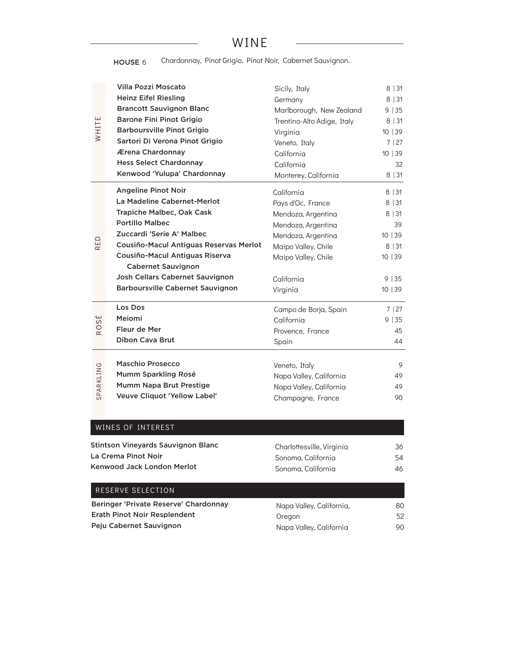## WINE

HOUSE 6 Chardonnay, Pinot Grigio, Pinot Noir, Cabernet Sauvignon.

|                      | <b>Villa Pozzi Moscato</b>              | Sicily, Italy              | 8 31    |
|----------------------|-----------------------------------------|----------------------------|---------|
|                      | <b>Heinz Eifel Riesling</b>             | Germany                    | 8 31    |
|                      | <b>Brancott Sauvignon Blanc</b>         | Marlborough, New Zealand   | 9 35    |
|                      | <b>Barone Fini Pinot Grigio</b>         | Trentino-Alto Adige, Italy | 8 31    |
| WHITE                | <b>Barboursville Pinot Grigio</b>       | Virginia                   | 10 39   |
|                      | Sartori Di Verona Pinot Grigio          | Veneto, Italy              | 7   27  |
|                      | Ærena Chardonnay                        | California                 | 10 39   |
|                      | <b>Hess Select Chardonnay</b>           | California                 | 32      |
|                      | Kenwood 'Yulupa' Chardonnay             | Monterey, California       | 8 31    |
|                      | <b>Angeline Pinot Noir</b>              | California                 | 8 31    |
|                      | La Madeline Cabernet-Merlot             | Pays d'Oc, France          | 8 31    |
|                      | Trapiche Malbec, Oak Cask               | Mendoza, Argentina         | 8 31    |
|                      | <b>Portillo Malbec</b>                  | Mendoza, Argentina         | 39      |
|                      | Zuccardi 'Serie A' Malbec               | Mendoza, Argentina         | 10   39 |
| RED                  | Cousiño-Macul Antiguas Reservas Merlot  | Maipo Valley, Chile        | 8 31    |
|                      | Cousiño-Macul Antiguas Riserva          | Maipo Valley, Chile        | 10 39   |
|                      | <b>Cabernet Sauvignon</b>               |                            |         |
|                      | Josh Cellars Cabernet Sauvignon         | California                 | 9 35    |
|                      | <b>Barboursville Cabernet Sauvignon</b> | Virginia                   | 10   39 |
|                      | Los Dos                                 | Campo de Borja, Spain      | 7 27    |
| É<br>$\omega$        | Meiomi                                  | California                 | 9 35    |
| $\circ$<br>$\propto$ | Fleur de Mer                            | Provence, France           | 45      |
|                      | <b>Dibon Cava Brut</b>                  | Spain                      | 44      |
|                      | <b>Maschio Prosecco</b>                 |                            |         |
|                      | Mumm Sparkling Rosé                     | Veneto, Italy              | 9       |
| SPARKLING            | Mumm Napa Brut Prestige                 | Napa Valley, California    | 49      |
|                      |                                         | Napa Valley, California    | 49      |
|                      | Veuve Cliquot 'Yellow Label'            | Champagne, France          | 90      |

### WINES OF INTEREST

| Stintson Vineyards Sauvignon Blanc | Charlottesville, Virginia | 36 |
|------------------------------------|---------------------------|----|
| La Crema Pinot Noir                | Sonoma, California        | 54 |
| Kenwood Jack London Merlot         | Sonoma, California        | 46 |
| RESERVE SELECTION                  |                           |    |

| Beringer 'Private Reserve' Chardonnay | Napa Valley, California, | 80 |
|---------------------------------------|--------------------------|----|
| Erath Pinot Noir Resplendent          | Oregon                   | 52 |
| Peju Cabernet Sauvignon               | Napa Valley, California  | 90 |